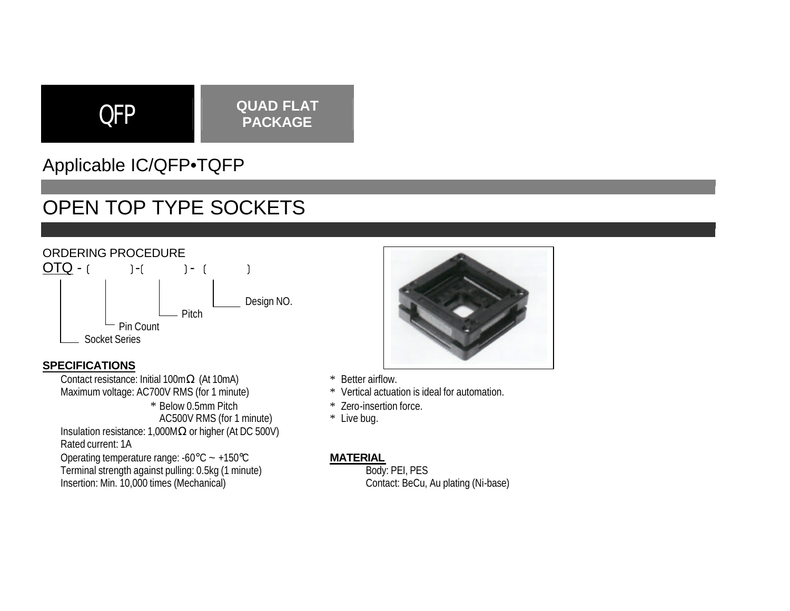# QFP **QUAD FLAT PACKAGE**

# Applicable IC/QFP•TQFP

# OPEN TOP TYPE SOCKETS



### **SPECIFICATIONS**

Contact resistance: Initial 100mΩ (At 10mA) <br>
Maximum voltage: AC700V RMS (for 1 minute) \* Vertical actuation is ideal for automation. Maximum voltage: AC700V RMS (for 1 minute)

\* Below 0.5mm Pitch \* Zero-insertion force.<br>AC500V RMS (for 1 minute) \* Live bug. AC500V RMS (for 1 minute)

Insulation resistance: 1,000MΩ or higher (At DC 500V) Rated current: 1A

Operating temperature range: -60°C ~ +150°C<br>
Terminal strength against pulling: 0.5kg (1 minute) Body: PEI, PES Terminal strength against pulling: 0.5kg (1 minute)<br>
Insertion: Min. 10,000 times (Mechanical)<br>
Contact: BeCu, Au plating (Ni-base) Insertion: Min. 10,000 times (Mechanical)



- 
- 
- 
-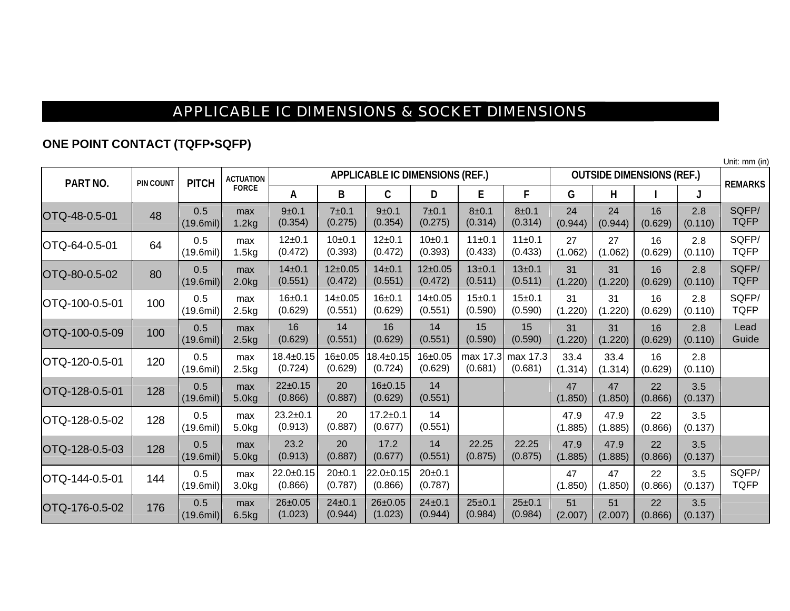## APPLICABLE IC DIMENSIONS & SOCKET DIMENSIONS

### **ONE POINT CONTACT (TQFP•SQFP)**

Unit: mm (in)

| PART NO.       | <b>PIN COUNT</b> | <b>PITCH</b>              | <b>ACTUATION</b><br><b>FORCE</b> | <b>APPLICABLE IC DIMENSIONS (REF.)</b> |                        |                          |                          |                         |                         |                 | <b>OUTSIDE DIMENSIONS (REF.)</b> |               |                |                      |
|----------------|------------------|---------------------------|----------------------------------|----------------------------------------|------------------------|--------------------------|--------------------------|-------------------------|-------------------------|-----------------|----------------------------------|---------------|----------------|----------------------|
|                |                  |                           |                                  | Α                                      | B                      | $\mathsf{C}$             | D                        | E                       | F                       | G               | н                                |               |                | <b>REMARKS</b>       |
| OTQ-48-0.5-01  | 48               | 0.5<br>$(19.6\text{mil})$ | max<br>1.2kg                     | 9±0.1<br>(0.354)                       | 7±0.1<br>(0.275)       | $9 + 0.1$<br>(0.354)     | 7±0.1<br>(0.275)         | $8 + 0.1$<br>(0.314)    | 8±0.1<br>(0.314)        | 24<br>(0.944)   | 24<br>(0.944)                    | 16<br>(0.629) | 2.8<br>(0.110) | SQFP/<br><b>TQFP</b> |
| OTQ-64-0.5-01  | 64               | 0.5<br>$(19.6\text{mil})$ | max<br>1.5kg                     | $12+0.1$<br>(0.472)                    | 10±0.1<br>(0.393)      | $12 + 0.1$<br>(0.472)    | $10+0.1$<br>(0.393)      | 11±0.1<br>(0.433)       | 11±0.1<br>(0.433)       | 27<br>(1.062)   | 27<br>(1.062)                    | 16<br>(0.629) | 2.8<br>(0.110) | SQFP/<br><b>TQFP</b> |
| OTQ-80-0.5-02  | 80               | 0.5<br>$(19.6$ mil)       | max<br>2.0kg                     | $14 + 0.1$<br>(0.551)                  | $12 + 0.05$<br>(0.472) | $14 + 0.1$<br>(0.551)    | $12 \pm 0.05$<br>(0.472) | $13 + 0.1$<br>(0.511)   | $13 + 0.1$<br>(0.511)   | 31<br>(1.220)   | 31<br>(1.220)                    | 16<br>(0.629) | 2.8<br>(0.110) | SQFP/<br><b>TQFP</b> |
| OTQ-100-0.5-01 | 100              | 0.5<br>(19.6)             | max<br>2.5kg                     | $16 + 0.1$<br>(0.629)                  | $14 + 0.05$<br>(0.551) | $16 + 0.1$<br>(0.629)    | $14\pm0.05$<br>(0.551)   | $15 + 0.1$<br>(0.590)   | $15 + 0.1$<br>(0.590)   | 31<br>(1.220)   | 31<br>(1.220)                    | 16<br>(0.629) | 2.8<br>(0.110) | SQFP/<br><b>TQFP</b> |
| OTQ-100-0.5-09 | 100              | 0.5<br>$(19.6$ mil)       | max<br>2.5kg                     | 16<br>(0.629)                          | 14<br>(0.551)          | 16<br>(0.629)            | 14<br>(0.551)            | 15<br>(0.590)           | 15<br>(0.590)           | 31<br>(1.220)   | 31<br>(1.220)                    | 16<br>(0.629) | 2.8<br>(0.110) | Lead<br>Guide        |
| OTQ-120-0.5-01 | 120              | 0.5<br>$(19.6$ mil)       | max<br>2.5kg                     | $18.4 \pm 0.15$<br>(0.724)             | $16 + 0.05$<br>(0.629) | 18.4±0.15<br>(0.724)     | 16±0.05<br>(0.629)       | max 17.3<br>(0.681)     | max 17.3<br>(0.681)     | 33.4<br>(1.314) | 33.4<br>(1.314)                  | 16<br>(0.629) | 2.8<br>(0.110) |                      |
| OTQ-128-0.5-01 | 128              | 0.5<br>$(19.6$ mil)       | max<br>5.0kg                     | 22±0.15<br>(0.866)                     | 20<br>(0.887)          | $16 + 0.15$<br>(0.629)   | 14<br>(0.551)            |                         |                         | 47<br>(1.850)   | 47<br>(1.850)                    | 22<br>(0.866) | 3.5<br>(0.137) |                      |
| OTQ-128-0.5-02 | 128              | 0.5<br>(19.6)             | max<br>5.0kg                     | $23.2 \pm 0.1$<br>(0.913)              | 20<br>(0.887)          | $17.2 + 0.1$<br>(0.677)  | 14<br>(0.551)            |                         |                         | 47.9<br>(1.885) | 47.9<br>(1.885)                  | 22<br>(0.866) | 3.5<br>(0.137) |                      |
| OTQ-128-0.5-03 | 128              | 0.5<br>$(19.6$ mil)       | max<br>5.0kg                     | 23.2<br>(0.913)                        | 20<br>(0.887)          | 17.2<br>(0.677)          | 14<br>(0.551)            | 22.25<br>(0.875)        | 22.25<br>(0.875)        | 47.9<br>(1.885) | 47.9<br>(1.885)                  | 22<br>(0.866) | 3.5<br>(0.137) |                      |
| OTQ-144-0.5-01 | 144              | 0.5<br>$(19.6$ mil)       | max<br>3.0 <sub>k</sub> g        | $22.0 \pm 0.15$<br>(0.866)             | $20+0.1$<br>(0.787)    | 22.0±0.15<br>(0.866)     | $20+0.1$<br>(0.787)      |                         |                         | 47<br>(1.850)   | 47<br>(1.850)                    | 22<br>(0.866) | 3.5<br>(0.137) | SQFP/<br><b>TQFP</b> |
| OTQ-176-0.5-02 | 176              | 0.5<br>$(19.6$ mil)       | max<br>6.5kg                     | $26 \pm 0.05$<br>(1.023)               | $24 + 0.1$<br>(0.944)  | $26 \pm 0.05$<br>(1.023) | $24 \pm 0.1$<br>(0.944)  | $25 \pm 0.1$<br>(0.984) | $25 \pm 0.1$<br>(0.984) | 51<br>(2.007)   | 51<br>(2.007)                    | 22<br>(0.866) | 3.5<br>(0.137) |                      |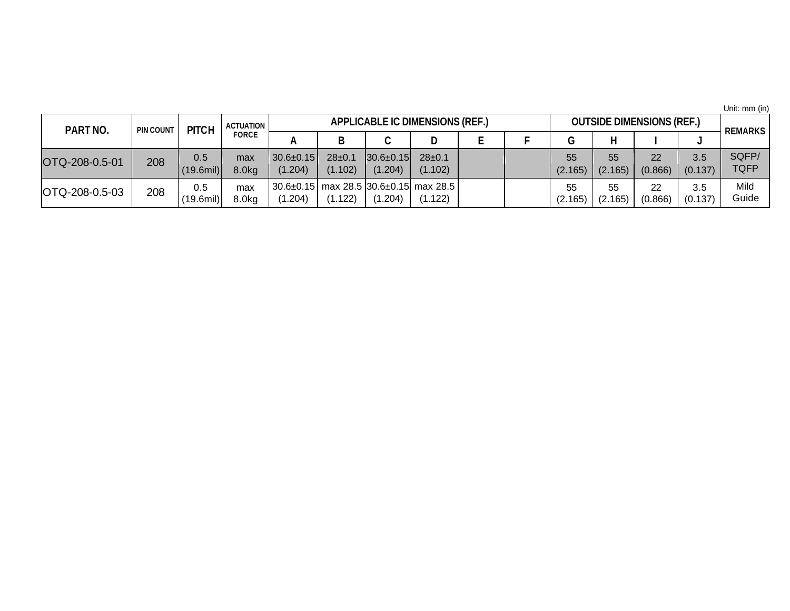Unit: mm (in)

| PART NO.       | <b>PIN COUNT</b> | <b>PITCH</b>        | ACTUATION<br><b>FORCE</b> | <b>APPLICABLE IC DIMENSIONS (REF.)</b> |                        |                              |                                                              |  |  |               | <b>OUTSIDE DIMENSIONS (REF.)</b> |               |                |                      |
|----------------|------------------|---------------------|---------------------------|----------------------------------------|------------------------|------------------------------|--------------------------------------------------------------|--|--|---------------|----------------------------------|---------------|----------------|----------------------|
|                |                  |                     |                           |                                        |                        | C                            | D                                                            |  |  |               |                                  |               |                | <b>REMARKS</b>       |
| OTQ-208-0.5-01 | 208              | 0.5<br>$(19.6$ mil) | max<br>8.0kg              | $30.6 \pm 0.15$<br>(1.204)             | $28 \pm 0.$<br>(1.102) | $ 30.6 \pm 0.15 $<br>(1.204) | $28 \pm 0.1$<br>(1.102)                                      |  |  | 55<br>(2.165) | 55<br>(2.165)                    | 22<br>(0.866) | 3.5<br>(0.137) | SQFP/<br><b>TQFP</b> |
| OTQ-208-0.5-03 | 208              | 0.5<br>$(19.6$ mil) | max<br>$8.0k$ g           | .204)                                  | .122)                  | (1.204)                      | $30.6 \pm 0.15$ max 28.5 30.6 $\pm$ 0.15 max 28.5<br>(1.122) |  |  | 55<br>(2.165) | 55<br>(2.165)                    | 22<br>(0.866) | 3.5<br>(0.137) | Mild<br>Guide        |